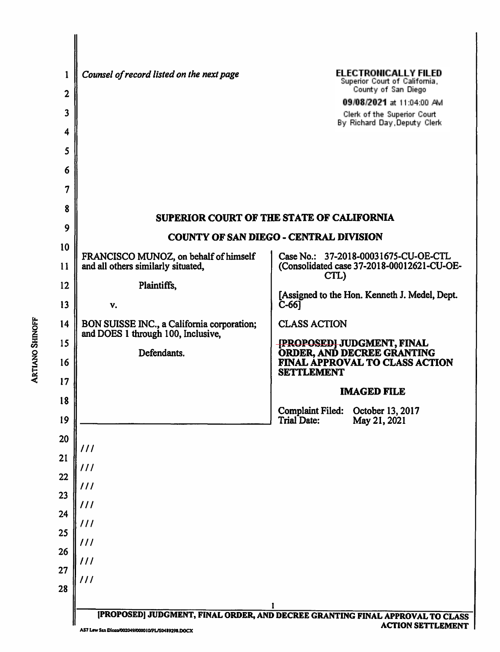|                        | 1            | Counsel of record listed on the next page                                        | <b>ELECTRONICALLY FILED</b><br>Superior Court of California,                                       |  |  |
|------------------------|--------------|----------------------------------------------------------------------------------|----------------------------------------------------------------------------------------------------|--|--|
|                        | $\mathbf{2}$ |                                                                                  | County of San Diego<br>09/08/2021 at 11:04:00 AM                                                   |  |  |
|                        | 3            |                                                                                  | Clerk of the Superior Court<br>By Richard Day, Deputy Clerk                                        |  |  |
|                        | 4            |                                                                                  |                                                                                                    |  |  |
|                        | 5            |                                                                                  |                                                                                                    |  |  |
|                        | 6            |                                                                                  |                                                                                                    |  |  |
|                        | 7            |                                                                                  |                                                                                                    |  |  |
|                        | 8            |                                                                                  | SUPERIOR COURT OF THE STATE OF CALIFORNIA                                                          |  |  |
|                        | 9            | <b>COUNTY OF SAN DIEGO - CENTRAL DIVISION</b>                                    |                                                                                                    |  |  |
|                        | 10           | FRANCISCO MUNOZ, on behalf of himself                                            | Case No.: 37-2018-00031675-CU-OE-CTL                                                               |  |  |
|                        | 11           | and all others similarly situated,                                               | (Consolidated case 37-2018-00012621-CU-OE-<br>CTL)                                                 |  |  |
|                        | 12           | Plaintiffs,                                                                      | [Assigned to the Hon. Kenneth J. Medel, Dept.                                                      |  |  |
|                        | 13           | v.                                                                               | $C-66$                                                                                             |  |  |
|                        | 14           | BON SUISSE INC., a California corporation;<br>and DOES 1 through 100, Inclusive, | <b>CLASS ACTION</b>                                                                                |  |  |
| <b>ARTIANO SHINOFF</b> | 15<br>16     | Defendants.                                                                      | <b>[PROPOSED] JUDGMENT, FINAL<br/>ORDER, AND DECREE GRANTING</b><br>FINAL APPROVAL TO CLASS ACTION |  |  |
|                        | 17           |                                                                                  | <b>SETTLEMENT</b>                                                                                  |  |  |
|                        | 18           |                                                                                  | <b>IMAGED FILE</b>                                                                                 |  |  |
|                        | 19           |                                                                                  | <b>Complaint Filed:</b><br>October 13, 2017<br>Trial Date:<br>May 21, 2021                         |  |  |
|                        | 20           |                                                                                  |                                                                                                    |  |  |
|                        | 21           | 111                                                                              |                                                                                                    |  |  |
|                        | 22           | 111                                                                              |                                                                                                    |  |  |
|                        | 23           | 111                                                                              |                                                                                                    |  |  |
|                        | 24           | 111                                                                              |                                                                                                    |  |  |
|                        | 25           | 111<br>111                                                                       |                                                                                                    |  |  |
|                        | 26           | $\frac{1}{2}$                                                                    |                                                                                                    |  |  |
|                        | 27           | 111                                                                              |                                                                                                    |  |  |
|                        | 28           |                                                                                  |                                                                                                    |  |  |
|                        |              |                                                                                  | [PROPOSED] JUDGMENT, FINAL ORDER, AND DECREE GRANTING FINAL APPROVAL TO CLASS                      |  |  |
|                        |              | AS7 Law San Dicen/002049/000010/PL/S0489298.DOCX                                 | <b>ACTION SETTLEMENT</b>                                                                           |  |  |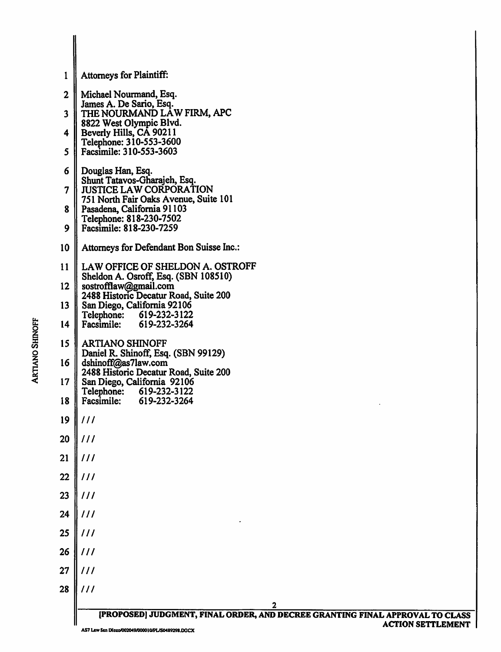|                        | 1                       | Attorneys for Plaintiff:                                                                                  |
|------------------------|-------------------------|-----------------------------------------------------------------------------------------------------------|
|                        | $\mathbf{2}$            | Michael Nourmand, Esq.                                                                                    |
|                        | $\overline{\mathbf{3}}$ | James A. De Sario, Esq.<br>THE NOURMAND LAW FIRM, APC                                                     |
|                        | 4                       | 8822 West Olympic Blvd.<br>Beverly Hills, CA 90211<br>Telephone: 310-553-3600                             |
|                        | 5                       | Facsimile: 310-553-3603                                                                                   |
|                        | 6                       | Douglas Han, Esq.<br>Shunt Tatavos-Gharajeh, Esq.                                                         |
|                        | $\overline{\mathbf{7}}$ | <b>JUSTICE LAW CORPORATION</b><br>751 North Fair Oaks Avenue, Suite 101                                   |
|                        | 8                       | Pasadena, California 91103<br>Telephone: 818-230-7502                                                     |
|                        | 9                       | Facsimile: 818-230-7259                                                                                   |
|                        | 10                      | Attorneys for Defendant Bon Suisse Inc.:                                                                  |
|                        | 11                      | LAW OFFICE OF SHELDON A. OSTROFF<br>Sheldon A. Osroff, Esq. (SBN 108510)                                  |
|                        | 12                      | sostrofflaw@gmail.com<br>2488 Historic Decatur Road, Suite 200                                            |
|                        | 13                      | San Diego, California 92106<br>Telephone: 619-232-3122                                                    |
|                        | 14                      | 619-232-3264<br><b>Facsimile:</b>                                                                         |
| <b>ARTIANO SHINOFF</b> | 15                      | <b>ARTIANO SHINOFF</b><br>Daniel R. Shinoff, Esq. (SBN 99129)                                             |
|                        | 16                      | dshinoff@as7law.com<br>2488 Historic Decatur Road, Suite 200                                              |
|                        | 17<br>18                | San Diego, California 92106<br>Telephone:<br>619-232-3122<br>Facsimile:<br>619-232-3264                   |
|                        | 19                      | 111                                                                                                       |
|                        | 20                      | 111                                                                                                       |
|                        | 21                      | 111                                                                                                       |
|                        | 22                      | 111                                                                                                       |
|                        | 23                      | 111                                                                                                       |
|                        | 24                      | 111                                                                                                       |
|                        | 25                      | 111                                                                                                       |
|                        | 26                      | 111                                                                                                       |
|                        | 27                      | 111                                                                                                       |
|                        | 28                      | 111                                                                                                       |
|                        |                         | [PROPOSED] JUDGMENT, FINAL ORDER, AND DECREE GRANTING FINAL APPROVAL TO CLASS<br><b>ACTION SETTLEMENT</b> |
|                        |                         |                                                                                                           |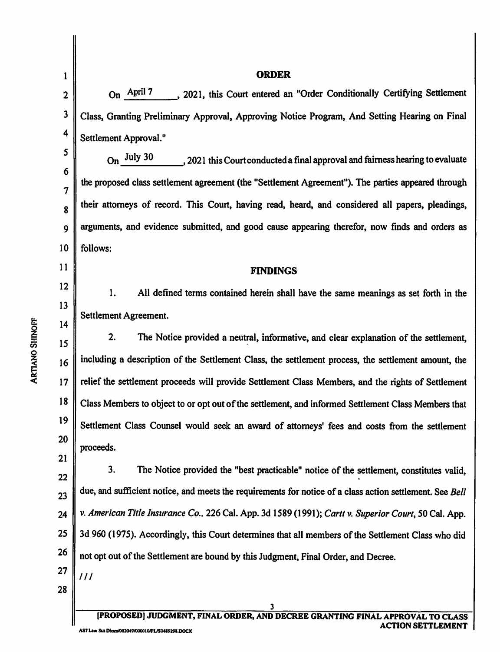| 1                      |                         | <b>ORDER</b>                                                                                             |  |  |
|------------------------|-------------------------|----------------------------------------------------------------------------------------------------------|--|--|
|                        | $\boldsymbol{2}$        | On April 7 , 2021, this Court entered an "Order Conditionally Certifying Settlement                      |  |  |
|                        | 3                       | Class, Granting Preliminary Approval, Approving Notice Program, And Setting Hearing on Final             |  |  |
|                        | $\overline{\mathbf{4}}$ | Settlement Approval."                                                                                    |  |  |
|                        | 5                       | On July 30<br>, 2021 this Court conducted a final approval and fairness hearing to evaluate              |  |  |
|                        | 6                       | the proposed class settlement agreement (the "Settlement Agreement"). The parties appeared through       |  |  |
|                        | 7                       | their attorneys of record. This Court, having read, heard, and considered all papers, pleadings,         |  |  |
|                        | 8                       |                                                                                                          |  |  |
|                        | 9                       | arguments, and evidence submitted, and good cause appearing therefor, now finds and orders as            |  |  |
|                        | 10                      | follows:                                                                                                 |  |  |
|                        | 11                      | <b>FINDINGS</b>                                                                                          |  |  |
|                        | 12                      | All defined terms contained herein shall have the same meanings as set forth in the<br>1.                |  |  |
|                        | 13                      | Settlement Agreement.                                                                                    |  |  |
|                        | 14                      |                                                                                                          |  |  |
|                        | 15                      | 2.<br>The Notice provided a neutral, informative, and clear explanation of the settlement,               |  |  |
| <b>ARTIANO SHINOFF</b> | 16                      | including a description of the Settlement Class, the settlement process, the settlement amount, the      |  |  |
|                        | 17                      | relief the settlement proceeds will provide Settlement Class Members, and the rights of Settlement       |  |  |
|                        | 18                      | Class Members to object to or opt out of the settlement, and informed Settlement Class Members that      |  |  |
|                        | 19                      | Settlement Class Counsel would seek an award of attorneys' fees and costs from the settlement            |  |  |
|                        | 20                      | proceeds.                                                                                                |  |  |
|                        | 21                      |                                                                                                          |  |  |
|                        | 22                      | 3.<br>The Notice provided the "best practicable" notice of the settlement, constitutes valid,            |  |  |
|                        | 23                      | due, and sufficient notice, and meets the requirements for notice of a class action settlement. See Bell |  |  |
|                        | 24                      | v. American Title Insurance Co., 226 Cal. App. 3d 1589 (1991); Cartt v. Superior Court, 50 Cal. App.     |  |  |
|                        | 25                      | 3d 960 (1975). Accordingly, this Court determines that all members of the Settlement Class who did       |  |  |
|                        | 26                      | not opt out of the Settlement are bound by this Judgment, Final Order, and Decree.                       |  |  |
|                        | 27                      | 111                                                                                                      |  |  |
|                        | 28                      |                                                                                                          |  |  |
|                        |                         | 3<br>[PROPOSED] JUDGMENT, FINAL ORDER, AND DECREE GRANTING FINAL APPROVAL                                |  |  |
|                        |                         |                                                                                                          |  |  |

[PROPOSED] JUDGMENT, FINAL ORDER, AND DECREE GRANTING FINAL APPROVAL TO CLASS ACTION SETTLEMENT AS7 Law Sta Dicen/002049/000010/PL/S0489298.DOCX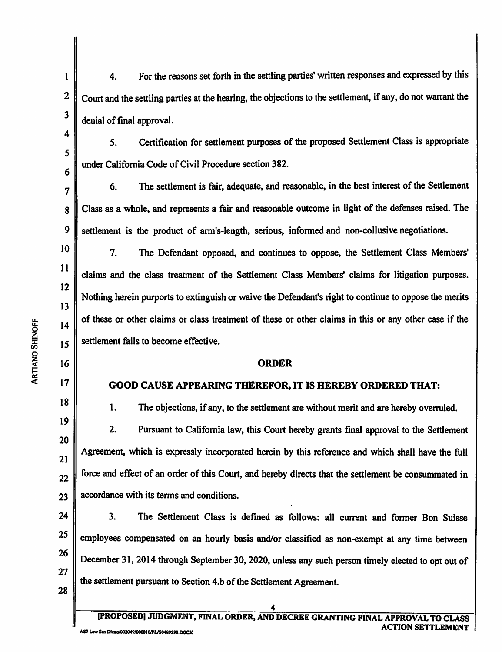4. For the reasons set forth in the settling parties' written responses and expressed by this Court and the settling parties at the hearing, the objections to the settlement, if any, do not warrant the denial of final approval.

5. Certification for settlement purposes of the proposed Settlement Class is appropriate under California Code of Civil Procedure section 382.

6. The settlement is fair, adequate, and reasonable, in the best interest of the Settlement Class as a whole, and represents a fair and reasonable outcome in light of the defenses raised. The settlement is the product of arm's-length, serious, informed and non-collusive negotiations.

7. The Defendant opposed, and continues to oppose, the Settlement Class Members' claims and the class treatment of the Settlement Class Members' claims for litigation purposes. Nothing herein purports to extinguish or waive the Defendant's right to continue to oppose the merits of these or other claims or class treatment of these or other claims in this or any other case if the settlement fails to become effective.

## ORDER

## GOOD CAUSE APPEARING THEREFOR, IT IS HEREBY ORDERED THAT;

1. The objections, if any, to the settlement are without merit and are hereby overruled.

2. Pursuant to California law, this Court hereby grants final approval to the Settlement Agreement, which is expressly incorporated herein by this reference and which shall have the full force and effect of an order of this Court, and hereby directs that the settlement be consummated in accordance with its terms and conditions.

24 25 26 27 3. The Settlement Class is defined as follows: all current and former Bon Suisse employees compensated on an hourly basis and/or classified as non-exempt at any time between December 31, 2014 through September 30,2020, unless any such person timely elected to opt out of the settlement pursuant to Section 4.b of the Settlement Agreement

28

I

2

3

4

5

6

7

8

9

10

11

12

13

 $14$ 

< <sup>17</sup>

18

19

20

21

22

23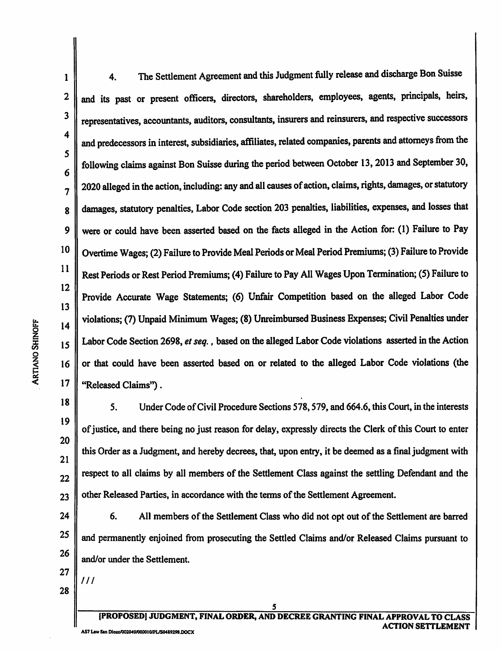1

2

3

5

4 6 7 8 9 10 11 12 13 < 16 4. The Settlement Agreement and this Judgment fully release and discharge Bon Suisse and its past or present officers, directors, shareholders, employees, agents, principals, heirs, representatives, accountants, auditors, consultants, insurers and reinsurers, and respective successors and predecessors in interest, subsidiaries, affiliates, related compames, parents and attorneys from the following claims against Bon Suisse during the period between October 13,2013 and September 30, 2020 alleged in the action, including: any and all causes of action, claims, rights, damages, or statutory damages, statutory penalties. Labor Code section 203 penalties, liabilities, expenses, and losses that were or could have been asserted based on the facts alleged in the Action for: (1) Failure to Pay Overtime Wages; (2) Failure to Provide Meal Periods or Meal Period Premiums; (3) Failure to Provide Rest Periods or Rest Period Premiums; (4) Failure to Pay All Wages Upon Termination; (5) Failure to Provide Accurate Wage Statements; (6) Unfair Competition based on the alleged Labor Code violations; (7) Unpaid Minimum Wages; (8) Unreimbursed Business Expenses; Civil Penalties under Labor Code Section 2698, et seq., based on the alleged Labor Code violations asserted in the Action or that could have been asserted based on or related to the alleged Labor Code violations (the "Released Claims").

18 19 20 21 22 23 5. Under Code of Civil Procedure Sections 578,579, and 664.6, this Court, in the interests of justice, and there being no Just reason for delay, expressly directs the Clerk of this Court to enter this Order as a Judgment, and hereby decrees, that, upon entry, it be deemed as a final judgment with respect to all claims by all members of the Settlement Class against the settling Defendant and the other Released Parties, in accordance with the terms of the Settlement Agreement.

24 25 26 6. All members of the Settlement Class who did not opt out of the Settlement are barred and permanently enjoined from prosecuting the Settled Claims and/or Released Claims pursuant to and/or under the Settlement.

27 28

///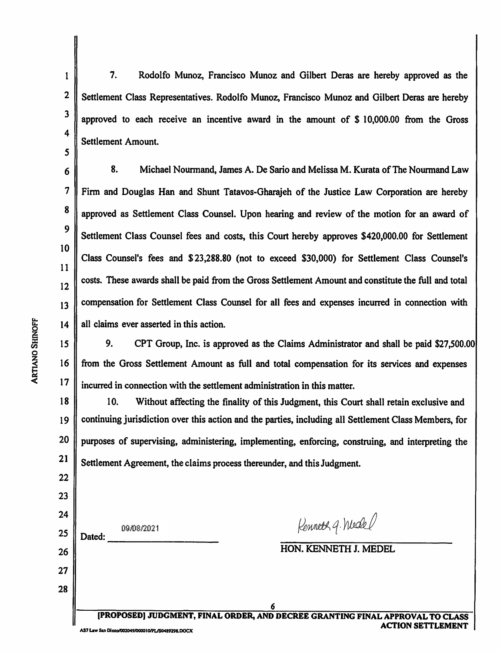3 4

5

6

7

8

9

10

11

12

13

14

1

2

7. Rodolfo Munoz, Francisco Munoz and Gilbert Deras are hereby approved as the Settlement Class Representatives. Rodolfo Munoz, Francisco Munoz and Gilbert Deras are hereby approved to each receive an incentive award in the amount of \$ 10,000.00 from the Gross Settlement Amount.

8. Michael Nourmand, James A. De Sario and Melissa M. Kurata of The Nourmand Law Firm and Douglas Han and Shunt Tatavos-Gharajeh of the Justice Law Corporation are hereby approved as Settlement Class Counsel. Upon hearing and review of the motion for an award of Settlement Class Counsel fees and costs, this Court hereby approves \$420,000.00 for Settlement Class Counsel's fees and \$23,288.80 (not to exceed \$30,000) for Settlement Class Counsel's costs. These awards shall be paid from the Gross Settlement Amount and constitute the full and total compensation for Settlement Class Counsel for all fees and expenses incurred in connection with all claims ever asserted in this action.

15 16 17 9. CPT Group, Inc. is approved as the Claims Administrator and shall be paid \$27,500.00 from the Gross Settlement Amount as full and total compensation for its services and expenses incurred in connection with the settlement administration in this matter.

18 19 20 10. Without affecting the finality of this Judgment, this Court shall retain exclusive and continuing jurisdiction over this action and the parties, including all Settlement Class Members, for purposes of supervising, administering, implementing, enforcing, construing, and interpreting the Settlement Agreement, the claims process thereunder, and this Judgment.

21 22 23 24 Rennett q. Medel 09/08/2021 25 Dated: HON. KENNETH J. MEDEL 26 27 28 (PROPOSED] JUDGMENT, FINAL ORDER, AND DECREE GRANTING FINAL APPROVAL TO CLASS ACTION SETTLEMENT AS7 Law San Diego/002049/000010/PL/S0489298.DOCX